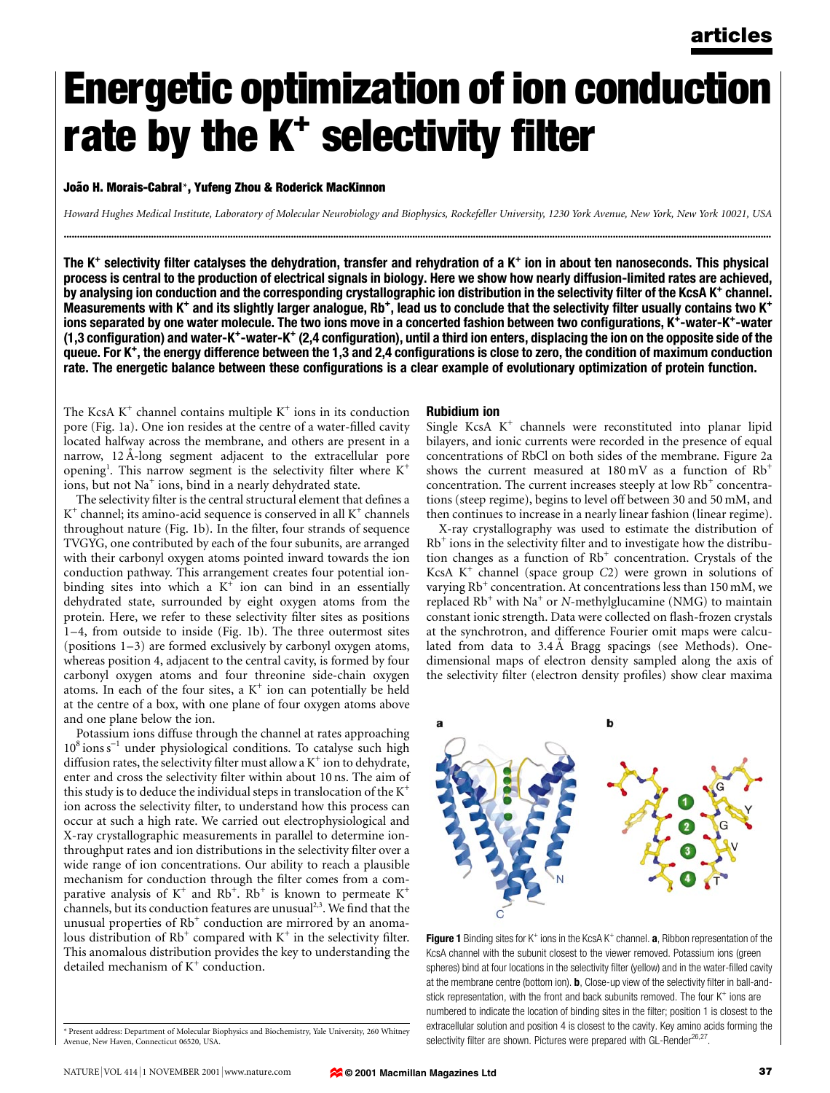# Energetic optimization of ion conduction rate by the  $K^+$  selectivity filter

João H. Morais-Cabral\*, Yufeng Zhou & Roderick MacKinnon

Howard Hughes Medical Institute, Laboratory of Molecular Neurobiology and Biophysics, Rockefeller University, 1230 York Avenue, New York, New York 10021, USA ............................................................................................................................................................................................................................................................................

The K<sup>+</sup> selectivity filter catalyses the dehydration, transfer and rehydration of a K<sup>+</sup> ion in about ten nanoseconds. This physical process is central to the production of electrical signals in biology. Here we show how nearly diffusion-limited rates are achieved, by analysing ion conduction and the corresponding crystallographic ion distribution in the selectivity filter of the KcsA K<sup>+</sup> channel. Measurements with K<sup>+</sup> and its slightly larger analogue, Rb<sup>+</sup>, lead us to conclude that the selectivity filter usually contains two K<sup>+</sup> ions separated by one water molecule. The two ions move in a concerted fashion between two configurations, K<sup>+</sup>-water-K<sup>+</sup>-water (1,3 configuration) and water-K<sup>+</sup>-water-K<sup>+</sup> (2,4 configuration), until a third ion enters, displacing the ion on the opposite side of the queue. For K<sup>+</sup>, the energy difference between the 1,3 and 2,4 configurations is close to zero, the condition of maximum conduction rate. The energetic balance between these configurations is a clear example of evolutionary optimization of protein function.

The KcsA  $K^+$  channel contains multiple  $K^+$  ions in its conduction pore (Fig. 1a). One ion resides at the centre of a water-filled cavity located halfway across the membrane, and others are present in a narrow, 12 Å-long segment adjacent to the extracellular pore opening<sup>1</sup>. This narrow segment is the selectivity filter where K<sup>+</sup> ions, but not Na<sup>+</sup> ions, bind in a nearly dehydrated state.

The selectivity filter is the central structural element that defines a  $K^+$  channel; its amino-acid sequence is conserved in all  $K^+$  channels throughout nature (Fig. 1b). In the filter, four strands of sequence TVGYG, one contributed by each of the four subunits, are arranged with their carbonyl oxygen atoms pointed inward towards the ion conduction pathway. This arrangement creates four potential ionbinding sites into which a  $K^+$  ion can bind in an essentially dehydrated state, surrounded by eight oxygen atoms from the protein. Here, we refer to these selectivity filter sites as positions 1-4, from outside to inside (Fig. 1b). The three outermost sites (positions  $1-3$ ) are formed exclusively by carbonyl oxygen atoms, whereas position 4, adjacent to the central cavity, is formed by four carbonyl oxygen atoms and four threonine side-chain oxygen atoms. In each of the four sites, a  $K^+$  ion can potentially be held at the centre of a box, with one plane of four oxygen atoms above and one plane below the ion.

Potassium ions diffuse through the channel at rates approaching  $10^8$  ions s<sup>-1</sup> under physiological conditions. To catalyse such high diffusion rates, the selectivity filter must allow a  $K^+$  ion to dehydrate, enter and cross the selectivity filter within about 10 ns. The aim of this study is to deduce the individual steps in translocation of the  $K^+$ ion across the selectivity filter, to understand how this process can occur at such a high rate. We carried out electrophysiological and X-ray crystallographic measurements in parallel to determine ionthroughput rates and ion distributions in the selectivity filter over a wide range of ion concentrations. Our ability to reach a plausible mechanism for conduction through the filter comes from a comparative analysis of  $K^+$  and  $Rb^+$ .  $Rb^+$  is known to permeate  $K^+$ channels, but its conduction features are unusual<sup>2,3</sup>. We find that the unusual properties of  $Rb<sup>+</sup>$  conduction are mirrored by an anomalous distribution of  $Rb^+$  compared with  $K^+$  in the selectivity filter. This anomalous distribution provides the key to understanding the detailed mechanism of  $K^+$  conduction.

## Rubidium ion

Single KcsA  $K^+$  channels were reconstituted into planar lipid bilayers, and ionic currents were recorded in the presence of equal concentrations of RbCl on both sides of the membrane. Figure 2a shows the current measured at  $180 \text{ mV}$  as a function of  $\text{Rb}^+$ concentration. The current increases steeply at low  $Rb^+$  concentrations (steep regime), begins to level off between 30 and 50 mM, and then continues to increase in a nearly linear fashion (linear regime).

X-ray crystallography was used to estimate the distribution of  $Rb<sup>+</sup>$  ions in the selectivity filter and to investigate how the distribution changes as a function of  $Rb<sup>+</sup>$  concentration. Crystals of the KcsA  $K^+$  channel (space group  $C2$ ) were grown in solutions of varying  $Rb^+$  concentration. At concentrations less than 150 mM, we replaced  $Rb^+$  with Na<sup>+</sup> or N-methylglucamine (NMG) to maintain constant ionic strength. Data were collected on flash-frozen crystals at the synchrotron, and difference Fourier omit maps were calculated from data to 3.4 Å Bragg spacings (see Methods). Onedimensional maps of electron density sampled along the axis of the selectivity filter (electron density profiles) show clear maxima





Present address: Department of Molecular Biophysics and Biochemistry, Yale University, 260 Whitney Avenue, New Haven, Connecticut 06520, USA.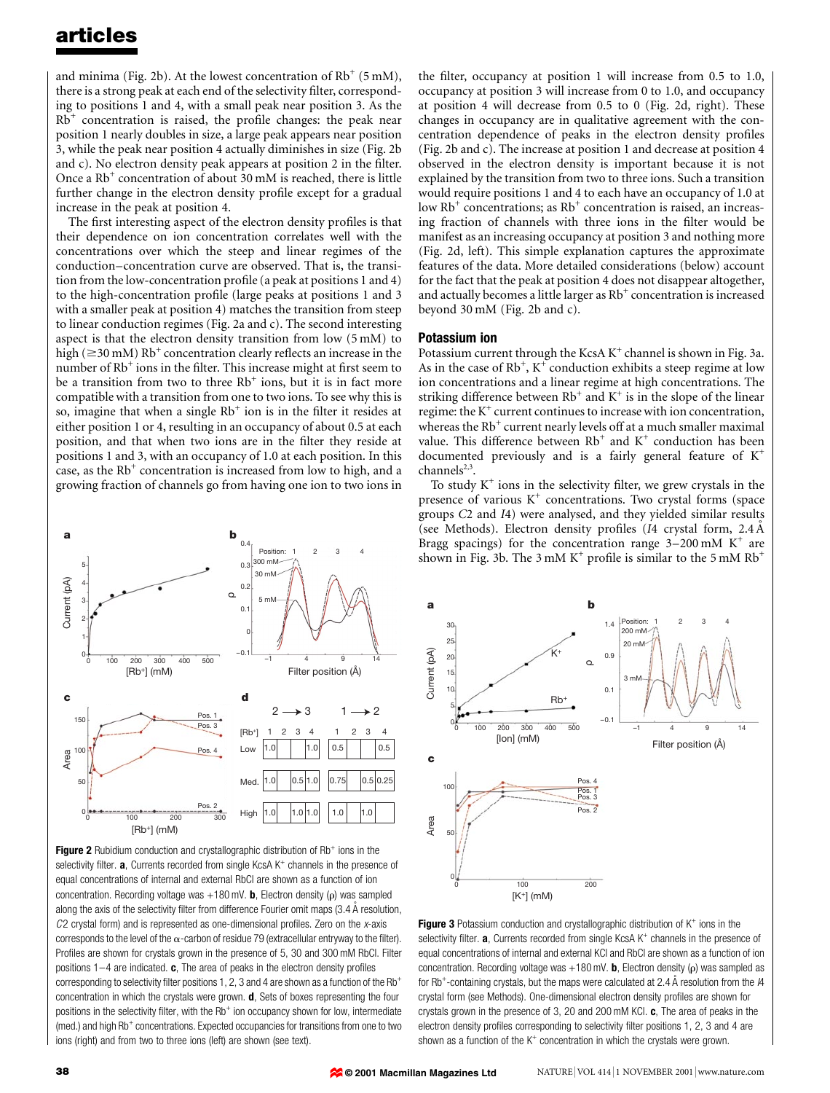and minima (Fig. 2b). At the lowest concentration of  $Rb^+$  (5 mM), there is a strong peak at each end of the selectivity filter, corresponding to positions 1 and 4, with a small peak near position 3. As the  $Rb<sup>+</sup>$  concentration is raised, the profile changes: the peak near position 1 nearly doubles in size, a large peak appears near position 3, while the peak near position 4 actually diminishes in size (Fig. 2b and c). No electron density peak appears at position 2 in the filter. Once a  $Rb^+$  concentration of about 30 mM is reached, there is little further change in the electron density profile except for a gradual increase in the peak at position 4.

The first interesting aspect of the electron density profiles is that their dependence on ion concentration correlates well with the concentrations over which the steep and linear regimes of the conduction-concentration curve are observed. That is, the transition from the low-concentration profile (a peak at positions 1 and 4) to the high-concentration profile (large peaks at positions 1 and 3 with a smaller peak at position 4) matches the transition from steep to linear conduction regimes (Fig. 2a and c). The second interesting aspect is that the electron density transition from low (5 mM) to high ( $\geq$ 30 mM) Rb<sup>+</sup> concentration clearly reflects an increase in the number of  $Rb^+$  ions in the filter. This increase might at first seem to be a transition from two to three  $Rb^+$  ions, but it is in fact more compatible with a transition from one to two ions. To see why this is so, imagine that when a single  $Rb^+$  ion is in the filter it resides at either position 1 or 4, resulting in an occupancy of about 0.5 at each position, and that when two ions are in the filter they reside at positions 1 and 3, with an occupancy of 1.0 at each position. In this case, as the  $Rb^+$  concentration is increased from low to high, and a growing fraction of channels go from having one ion to two ions in



Figure 2 Rubidium conduction and crystallographic distribution of Rb<sup>+</sup> ions in the selectivity filter.  $a$ , Currents recorded from single KcsA K<sup>+</sup> channels in the presence of equal concentrations of internal and external RbCl are shown as a function of ion concentration. Recording voltage was  $+180$  mV. **b**, Electron density ( $\rho$ ) was sampled along the axis of the selectivity filter from difference Fourier omit maps  $(3.4 \text{ Å}$  resolution,  $C2$  crystal form) and is represented as one-dimensional profiles. Zero on the x-axis corresponds to the level of the  $\alpha$ -carbon of residue 79 (extracellular entryway to the filter). Profiles are shown for crystals grown in the presence of 5, 30 and 300 mM RbCl. Filter positions  $1-4$  are indicated. c, The area of peaks in the electron density profiles corresponding to selectivity filter positions 1, 2, 3 and 4 are shown as a function of the Rb<sup>+</sup> concentration in which the crystals were grown.  $d$ , Sets of boxes representing the four positions in the selectivity filter, with the  $Rb<sup>+</sup>$  ion occupancy shown for low, intermediate (med.) and high Rb<sup>+</sup> concentrations. Expected occupancies for transitions from one to two ions (right) and from two to three ions (left) are shown (see text).

the filter, occupancy at position 1 will increase from  $0.5$  to  $1.0$ , occupancy at position 3 will increase from 0 to 1.0, and occupancy at position 4 will decrease from 0.5 to 0 (Fig. 2d, right). These changes in occupancy are in qualitative agreement with the concentration dependence of peaks in the electron density profiles (Fig. 2b and c). The increase at position 1 and decrease at position 4 observed in the electron density is important because it is not explained by the transition from two to three ions. Such a transition would require positions 1 and 4 to each have an occupancy of 1.0 at low  $Rb^+$  concentrations; as  $Rb^+$  concentration is raised, an increasing fraction of channels with three ions in the filter would be manifest as an increasing occupancy at position 3 and nothing more (Fig. 2d, left). This simple explanation captures the approximate features of the data. More detailed considerations (below) account for the fact that the peak at position 4 does not disappear altogether, and actually becomes a little larger as  $Rb<sup>+</sup>$  concentration is increased beyond 30 mM (Fig. 2b and c).

#### Potassium ion

Potassium current through the KcsA  $K^+$  channel is shown in Fig. 3a. As in the case of  $Rb^{+}$ ,  $K^{+}$  conduction exhibits a steep regime at low ion concentrations and a linear regime at high concentrations. The striking difference between  $Rb^+$  and  $K^+$  is in the slope of the linear regime: the  $K^+$  current continues to increase with ion concentration, whereas the  $Rb^+$  current nearly levels off at a much smaller maximal value. This difference between  $Rb^+$  and  $K^+$  conduction has been documented previously and is a fairly general feature of  $K^+$ channels $^{2,3}$ .

To study  $K^+$  ions in the selectivity filter, we grew crystals in the presence of various  $K^+$  concentrations. Two crystal forms (space groups C2 and I4) were analysed, and they yielded similar results (see Methods). Electron density profiles ( $I4$  crystal form,  $2.4 \text{ Å}$ Bragg spacings) for the concentration range  $3-200 \text{ mM K}^+$  are shown in Fig. 3b. The 3 mM  $K^+$  profile is similar to the 5 mM  $Rb^+$ 



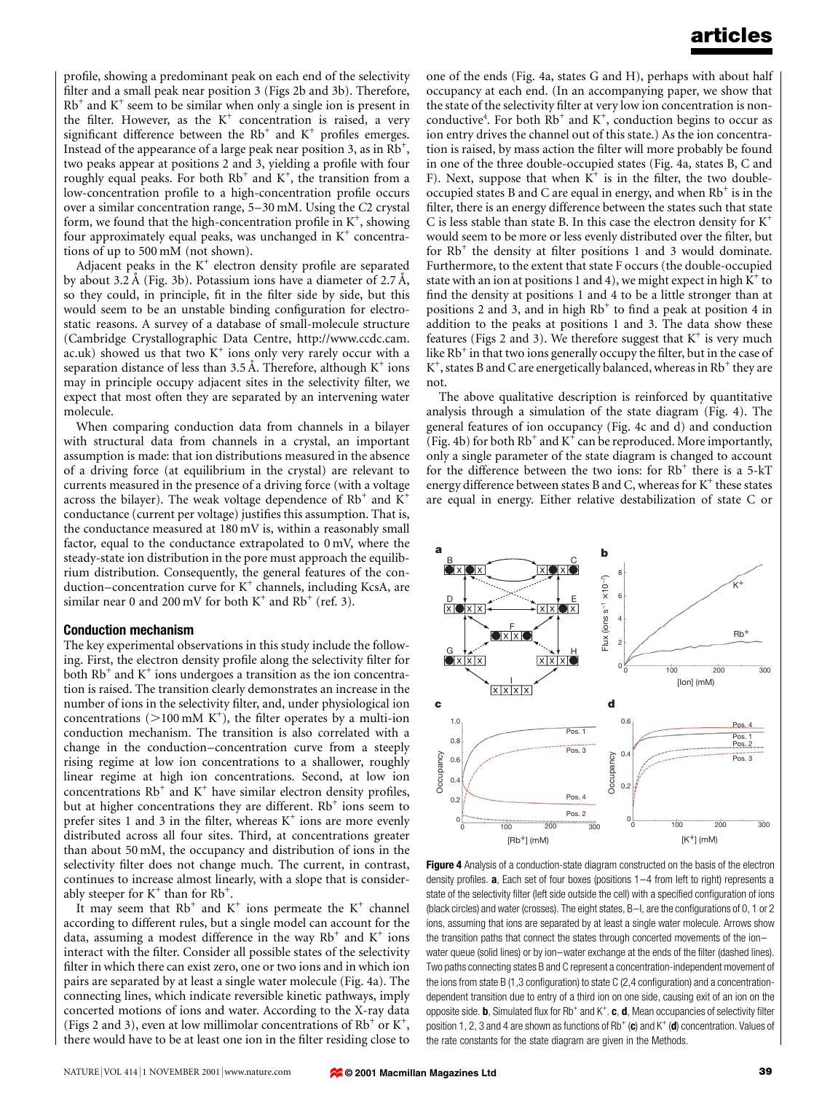profile, showing a predominant peak on each end of the selectivity filter and a small peak near position 3 (Figs 2b and 3b). Therefore,  $Rb<sup>+</sup>$  and  $K<sup>+</sup>$  seem to be similar when only a single ion is present in the filter. However, as the  $K^+$  concentration is raised, a very significant difference between the  $Rb^+$  and  $K^+$  profiles emerges. Instead of the appearance of a large peak near position 3, as in  $Rb^{+}$ , two peaks appear at positions 2 and 3, yielding a profile with four roughly equal peaks. For both  $Rb^+$  and  $K^+$ , the transition from a low-concentration profile to a high-concentration profile occurs over a similar concentration range,  $5-30$  mM. Using the C2 crystal form, we found that the high-concentration profile in  $K^+$ , showing four approximately equal peaks, was unchanged in  $K^+$  concentrations of up to 500 mM (not shown).

Adjacent peaks in the  $K^+$  electron density profile are separated by about 3.2 Å (Fig. 3b). Potassium ions have a diameter of  $2.7 \text{ Å}$ , so they could, in principle, fit in the filter side by side, but this would seem to be an unstable binding configuration for electrostatic reasons. A survey of a database of small-molecule structure (Cambridge Crystallographic Data Centre, http://www.ccdc.cam. ac.uk) showed us that two  $K^+$  ions only very rarely occur with a separation distance of less than 3.5 Å. Therefore, although  $K^+$  ions may in principle occupy adjacent sites in the selectivity filter, we expect that most often they are separated by an intervening water molecule.

When comparing conduction data from channels in a bilayer with structural data from channels in a crystal, an important assumption is made: that ion distributions measured in the absence of a driving force (at equilibrium in the crystal) are relevant to currents measured in the presence of a driving force (with a voltage across the bilayer). The weak voltage dependence of  $Rb^+$  and  $K^+$ conductance (current per voltage) justifies this assumption. That is, the conductance measured at 180 mV is, within a reasonably small factor, equal to the conductance extrapolated to 0 mV, where the steady-state ion distribution in the pore must approach the equilibrium distribution. Consequently, the general features of the conduction-concentration curve for  $K^+$  channels, including KcsA, are similar near 0 and 200 mV for both  $K^+$  and Rb<sup>+</sup> (ref. 3).

#### Conduction mechanism

The key experimental observations in this study include the following. First, the electron density profile along the selectivity filter for both  $Rb^+$  and  $K^+$  ions undergoes a transition as the ion concentration is raised. The transition clearly demonstrates an increase in the number of ions in the selectivity filter, and, under physiological ion concentrations ( $>$ 100 mM K<sup>+</sup>), the filter operates by a multi-ion conduction mechanism. The transition is also correlated with a change in the conduction-concentration curve from a steeply rising regime at low ion concentrations to a shallower, roughly linear regime at high ion concentrations. Second, at low ion concentrations  $Rb^+$  and  $K^+$  have similar electron density profiles, but at higher concentrations they are different.  $Rb^+$  ions seem to prefer sites 1 and 3 in the filter, whereas  $K^+$  ions are more evenly distributed across all four sites. Third, at concentrations greater than about 50 mM, the occupancy and distribution of ions in the selectivity filter does not change much. The current, in contrast, continues to increase almost linearly, with a slope that is considerably steeper for  $K^+$  than for  $Rb^+$ .

It may seem that  $Rb^+$  and  $K^+$  ions permeate the  $K^+$  channel according to different rules, but a single model can account for the data, assuming a modest difference in the way  $Rb^+$  and  $K^+$  ions interact with the filter. Consider all possible states of the selectivity filter in which there can exist zero, one or two ions and in which ion pairs are separated by at least a single water molecule (Fig. 4a). The connecting lines, which indicate reversible kinetic pathways, imply concerted motions of ions and water. According to the X-ray data (Figs 2 and 3), even at low millimolar concentrations of  $Rb^+$  or  $K^+$ , there would have to be at least one ion in the filter residing close to one of the ends (Fig. 4a, states G and H), perhaps with about half occupancy at each end. (In an accompanying paper, we show that the state of the selectivity filter at very low ion concentration is nonconductive<sup>4</sup>. For both  $Rb^+$  and  $K^+$ , conduction begins to occur as ion entry drives the channel out of this state.) As the ion concentration is raised, by mass action the filter will more probably be found in one of the three double-occupied states (Fig. 4a, states B, C and F). Next, suppose that when  $K^+$  is in the filter, the two doubleoccupied states B and C are equal in energy, and when  $Rb^+$  is in the filter, there is an energy difference between the states such that state C is less stable than state B. In this case the electron density for  $K^+$ would seem to be more or less evenly distributed over the filter, but for  $Rb^+$  the density at filter positions 1 and 3 would dominate. Furthermore, to the extent that state F occurs (the double-occupied state with an ion at positions 1 and 4), we might expect in high  $K^+$  to find the density at positions 1 and 4 to be a little stronger than at positions 2 and 3, and in high  $Rb^+$  to find a peak at position 4 in addition to the peaks at positions 1 and 3. The data show these features (Figs 2 and 3). We therefore suggest that  $K^+$  is very much like  $Rb^+$  in that two ions generally occupy the filter, but in the case of  $K^+$ , states B and C are energetically balanced, whereas in Rb<sup>+</sup> they are not.

The above qualitative description is reinforced by quantitative analysis through a simulation of the state diagram (Fig. 4). The general features of ion occupancy (Fig. 4c and d) and conduction (Fig. 4b) for both  $Rb^+$  and  $K^+$  can be reproduced. More importantly, only a single parameter of the state diagram is changed to account for the difference between the two ions: for  $Rb^+$  there is a 5-kT energy difference between states B and C, whereas for  $K^+$  these states are equal in energy. Either relative destabilization of state C or



Figure 4 Analysis of a conduction-state diagram constructed on the basis of the electron density profiles.  $a$ , Each set of four boxes (positions  $1-4$  from left to right) represents a state of the selectivity filter (left side outside the cell) with a specified configuration of ions (black circles) and water (crosses). The eight states, B-I, are the configurations of 0, 1 or 2 ions, assuming that ions are separated by at least a single water molecule. Arrows show the transition paths that connect the states through concerted movements of the ionwater queue (solid lines) or by ion-water exchange at the ends of the filter (dashed lines). Two paths connecting states B and C represent a concentration-independent movement of the ions from state B (1,3 configuration) to state C (2,4 configuration) and a concentrationdependent transition due to entry of a third ion on one side, causing exit of an ion on the opposite side. **b**, Simulated flux for Rb<sup>+</sup> and K<sup>+</sup>. **c**, **d**, Mean occupancies of selectivity filter position 1, 2, 3 and 4 are shown as functions of  $Rb^+$  (c) and  $K^+$  (d) concentration. Values of the rate constants for the state diagram are given in the Methods.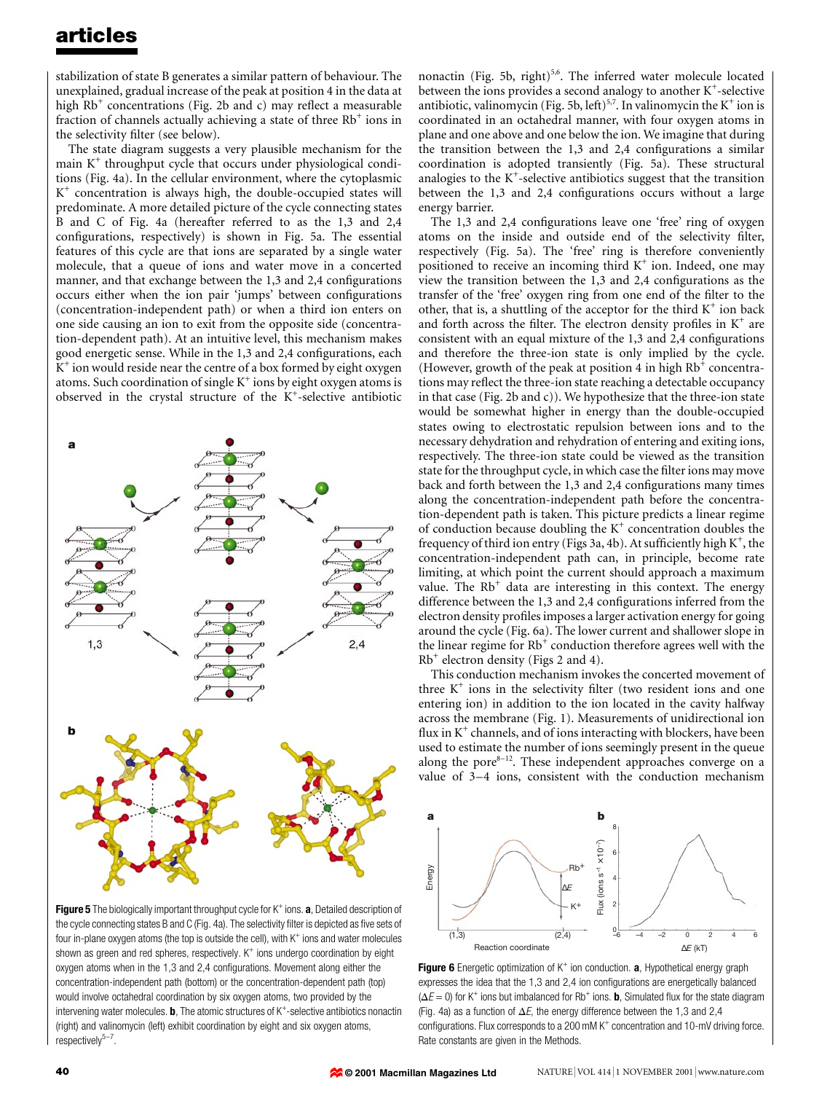stabilization of state B generates a similar pattern of behaviour. The unexplained, gradual increase of the peak at position 4 in the data at high  $Rb^+$  concentrations (Fig. 2b and c) may reflect a measurable fraction of channels actually achieving a state of three  $Rb^+$  ions in the selectivity filter (see below).

The state diagram suggests a very plausible mechanism for the main  $K^+$  throughput cycle that occurs under physiological conditions (Fig. 4a). In the cellular environment, where the cytoplasmic  $K^+$  concentration is always high, the double-occupied states will predominate. A more detailed picture of the cycle connecting states B and C of Fig. 4a (hereafter referred to as the 1,3 and 2,4 configurations, respectively) is shown in Fig. 5a. The essential features of this cycle are that ions are separated by a single water molecule, that a queue of ions and water move in a concerted manner, and that exchange between the 1,3 and 2,4 configurations occurs either when the ion pair 'jumps' between configurations (concentration-independent path) or when a third ion enters on one side causing an ion to exit from the opposite side (concentration-dependent path). At an intuitive level, this mechanism makes good energetic sense. While in the 1,3 and 2,4 configurations, each  $K^+$  ion would reside near the centre of a box formed by eight oxygen atoms. Such coordination of single  $K^+$  ions by eight oxygen atoms is observed in the crystal structure of the K<sup>+</sup>-selective antibiotic



Figure 5 The biologically important throughput cycle for  $K^+$  ions. a, Detailed description of the cycle connecting states B and C (Fig. 4a). The selectivity filter is depicted as five sets of four in-plane oxygen atoms (the top is outside the cell), with  $K^+$  ions and water molecules shown as green and red spheres, respectively.  $K^+$  ions undergo coordination by eight oxygen atoms when in the 1,3 and 2,4 configurations. Movement along either the concentration-independent path (bottom) or the concentration-dependent path (top) would involve octahedral coordination by six oxygen atoms, two provided by the intervening water molecules. **, The atomic structures of**  $K^+$ **-selective antibiotics nonactin** (right) and valinomycin (left) exhibit coordination by eight and six oxygen atoms,  $respectively<sup>5-7</sup>.$ 

nonactin (Fig. 5b, right)<sup>5,6</sup>. The inferred water molecule located between the ions provides a second analogy to another  $K^+$ -selective antibiotic, valinomycin (Fig. 5b, left)<sup>5,7</sup>. In valinomycin the  $K^+$  ion is coordinated in an octahedral manner, with four oxygen atoms in plane and one above and one below the ion. We imagine that during the transition between the  $1,3$  and  $2,4$  configurations a similar coordination is adopted transiently (Fig. 5a). These structural analogies to the  $K^+$ -selective antibiotics suggest that the transition between the  $1,3$  and  $2,4$  configurations occurs without a large energy barrier.

The 1,3 and 2,4 configurations leave one 'free' ring of oxygen atoms on the inside and outside end of the selectivity filter, respectively (Fig. 5a). The `free' ring is therefore conveniently positioned to receive an incoming third  $K^+$  ion. Indeed, one may view the transition between the  $1,3$  and  $2,4$  configurations as the transfer of the 'free' oxygen ring from one end of the filter to the other, that is, a shuttling of the acceptor for the third  $K^+$  ion back and forth across the filter. The electron density profiles in  $K^+$  are consistent with an equal mixture of the  $1,3$  and  $2,4$  configurations and therefore the three-ion state is only implied by the cycle. (However, growth of the peak at position 4 in high  $Rb^+$  concentrations may reflect the three-ion state reaching a detectable occupancy in that case (Fig. 2b and c)). We hypothesize that the three-ion state would be somewhat higher in energy than the double-occupied states owing to electrostatic repulsion between ions and to the necessary dehydration and rehydration of entering and exiting ions, respectively. The three-ion state could be viewed as the transition state for the throughput cycle, in which case the filter ions may move back and forth between the 1,3 and 2,4 configurations many times along the concentration-independent path before the concentration-dependent path is taken. This picture predicts a linear regime of conduction because doubling the  $K^+$  concentration doubles the frequency of third ion entry (Figs 3a, 4b). At sufficiently high  $\mathrm{K}^+$ , the concentration-independent path can, in principle, become rate limiting, at which point the current should approach a maximum value. The  $Rb<sup>+</sup>$  data are interesting in this context. The energy difference between the 1,3 and 2,4 configurations inferred from the electron density profiles imposes a larger activation energy for going around the cycle (Fig. 6a). The lower current and shallower slope in the linear regime for Rb<sup>+</sup> conduction therefore agrees well with the  $Rb^+$  electron density (Figs 2 and 4).

This conduction mechanism invokes the concerted movement of three  $K^+$  ions in the selectivity filter (two resident ions and one entering ion) in addition to the ion located in the cavity halfway across the membrane (Fig. 1). Measurements of unidirectional ion flux in  $K^+$  channels, and of ions interacting with blockers, have been used to estimate the number of ions seemingly present in the queue along the pore $8-12$ . These independent approaches converge on a value of 3-4 ions, consistent with the conduction mechanism



**Figure 6** Energetic optimization of  $K^+$  ion conduction. **a**, Hypothetical energy graph expresses the idea that the  $1,3$  and  $2,4$  ion configurations are energetically balanced  $(\Delta E = 0)$  for K<sup>+</sup> ions but imbalanced for Rb<sup>+</sup> ions. **b**, Simulated flux for the state diagram (Fig. 4a) as a function of  $\Delta E$ , the energy difference between the 1,3 and 2,4 configurations. Flux corresponds to a 200 mM  $K^+$  concentration and 10-mV driving force. Rate constants are given in the Methods.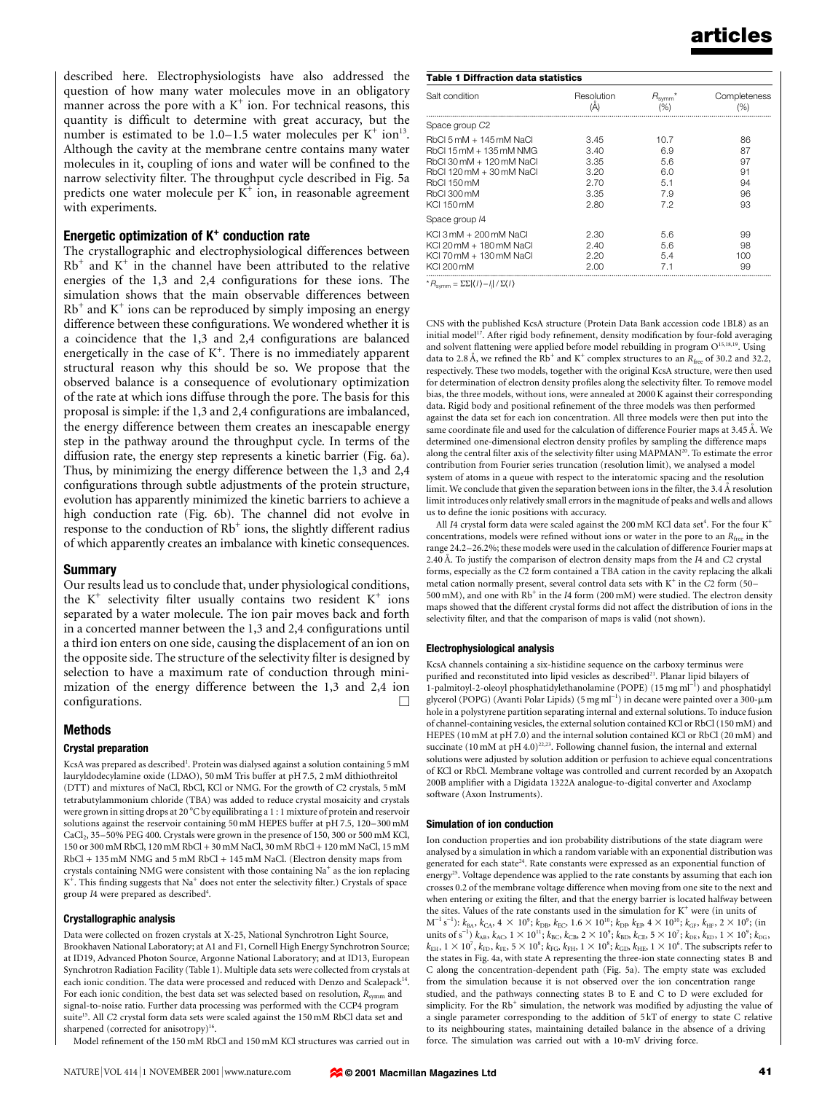described here. Electrophysiologists have also addressed the question of how many water molecules move in an obligatory manner across the pore with a  $K^+$  ion. For technical reasons, this quantity is difficult to determine with great accuracy, but the number is estimated to be  $1.0-1.5$  water molecules per K<sup>+</sup> ion<sup>13</sup>. Although the cavity at the membrane centre contains many water molecules in it, coupling of ions and water will be confined to the narrow selectivity filter. The throughput cycle described in Fig. 5a predicts one water molecule per  $K^+$  ion, in reasonable agreement with experiments.

#### Energetic optimization of  $K<sup>+</sup>$  conduction rate

The crystallographic and electrophysiological differences between  $Rb<sup>+</sup>$  and  $K<sup>+</sup>$  in the channel have been attributed to the relative energies of the 1,3 and 2,4 configurations for these ions. The simulation shows that the main observable differences between  $Rb<sup>+</sup>$  and  $K<sup>+</sup>$  ions can be reproduced by simply imposing an energy difference between these configurations. We wondered whether it is a coincidence that the  $1,3$  and  $2,4$  configurations are balanced energetically in the case of  $K^+$ . There is no immediately apparent structural reason why this should be so. We propose that the observed balance is a consequence of evolutionary optimization of the rate at which ions diffuse through the pore. The basis for this proposal is simple: if the 1,3 and 2,4 configurations are imbalanced, the energy difference between them creates an inescapable energy step in the pathway around the throughput cycle. In terms of the diffusion rate, the energy step represents a kinetic barrier (Fig. 6a). Thus, by minimizing the energy difference between the 1,3 and 2,4 configurations through subtle adjustments of the protein structure, evolution has apparently minimized the kinetic barriers to achieve a high conduction rate (Fig. 6b). The channel did not evolve in response to the conduction of  $Rb^+$  ions, the slightly different radius of which apparently creates an imbalance with kinetic consequences.

#### Summary

Our results lead us to conclude that, under physiological conditions, the  $K^+$  selectivity filter usually contains two resident  $K^+$  ions separated by a water molecule. The ion pair moves back and forth in a concerted manner between the  $1,3$  and  $2,4$  configurations until a third ion enters on one side, causing the displacement of an ion on the opposite side. The structure of the selectivity filter is designed by selection to have a maximum rate of conduction through minimization of the energy difference between the 1,3 and 2,4 ion  $\Box$ configurations.  $\Box$ 

## Methods

## Crystal preparation

KcsA was prepared as described<sup>1</sup>. Protein was dialysed against a solution containing 5 mM lauryldodecylamine oxide (LDAO), 50 mM Tris buffer at pH 7.5, 2 mM dithiothreitol (DTT) and mixtures of NaCl, RbCl, KCl or NMG. For the growth of C2 crystals, 5 mM tetrabutylammonium chloride (TBA) was added to reduce crystal mosaicity and crystals were grown in sitting drops at 20 °C by equilibrating a 1 : 1 mixture of protein and reservoir solutions against the reservoir containing 50 mM HEPES buffer at pH 7.5, 120-300 mM  $CaCl<sub>2</sub>$ , 35 $-50\%$  PEG 400. Crystals were grown in the presence of 150, 300 or 500 mM KCl, 150 or 300 mM RbCl, 120 mM RbCl + 30 mM NaCl, 30 mM RbCl + 120 mM NaCl, 15 mM RbCl + 135 mM NMG and 5 mM RbCl + 145 mM NaCl. (Electron density maps from crystals containing NMG were consistent with those containing  $Na<sup>+</sup>$  as the ion replacing  $K^+$ . This finding suggests that Na<sup>+</sup> does not enter the selectivity filter.) Crystals of space group I4 were prepared as described<sup>4</sup>.

## Crystallographic analysis

Data were collected on frozen crystals at X-25, National Synchrotron Light Source, Brookhaven National Laboratory; at A1 and F1, Cornell High Energy Synchrotron Source; at ID19, Advanced Photon Source, Argonne National Laboratory; and at ID13, European Synchrotron Radiation Facility (Table 1). Multiple data sets were collected from crystals at each ionic condition. The data were processed and reduced with Denzo and Scalepack<sup>14</sup>. For each ionic condition, the best data set was selected based on resolution,  $R_{\text{symm}}$  and signal-to-noise ratio. Further data processing was performed with the CCP4 program suite<sup>15</sup>. All C2 crystal form data sets were scaled against the 150 mM RbCl data set and sharpened (corrected for anisotropy)<sup>16</sup>

Model refinement of the 150 mM RbCl and 150 mM KCl structures was carried out in

| <b>Table 1 Diffraction data statistics</b>                                                                                                                           |                                                      |                                                |                                        |
|----------------------------------------------------------------------------------------------------------------------------------------------------------------------|------------------------------------------------------|------------------------------------------------|----------------------------------------|
| Salt condition                                                                                                                                                       | Resolution<br>(A)                                    | $R_{\text{symm}}^*$<br>(% )                    | Completeness<br>(%)                    |
| Space group C <sub>2</sub>                                                                                                                                           |                                                      |                                                |                                        |
| RbCl 5 mM + 145 mM NaCl<br>RbCl 15 mM + 135 mM NMG<br>RbCl 30 mM + 120 mM NaCl<br>RbCl 120 mM + 30 mM NaCl<br><b>RbCl 150 mM</b><br><b>RbCl 300 mM</b><br>KCI 150 mM | 3.45<br>3.40<br>3.35<br>3.20<br>2.70<br>3.35<br>2.80 | 10.7<br>6.9<br>5.6<br>6.0<br>5.1<br>7.9<br>7.2 | 86<br>87<br>97<br>91<br>94<br>96<br>93 |
| Space group /4                                                                                                                                                       |                                                      |                                                |                                        |
| KCI 3 mM + 200 mM NaCl<br>KCI 20 mM + 180 mM NaCl<br>KCI 70 mM + 130 mM NaCl<br><b>KCI 200 mM</b>                                                                    | 2.30<br>2.40<br>2.20<br>2.00                         | 5.6<br>5.6<br>5.4<br>7.1                       | 99<br>98<br>100<br>99                  |
| $FFLI/N = H/FLN$<br>$\star$ $\sim$                                                                                                                                   |                                                      |                                                |                                        |

 ${}^{\star}R_{\text{symm}} = \Sigma \Sigma |\langle I \rangle - I_{\text{j}}| / \Sigma \langle I \rangle$ 

CNS with the published KcsA structure (Protein Data Bank accession code 1BL8) as an initial model<sup>17</sup>. After rigid body refinement, density modification by four-fold averaging and solvent flattening were applied before model rebuilding in program O<sup>15,18,19</sup>. Using data to 2.8 Å, we refined the Rb<sup>+</sup> and K<sup>+</sup> complex structures to an R<sub>free</sub> of 30.2 and 32.2, respectively. These two models, together with the original KcsA structure, were then used for determination of electron density profiles along the selectivity filter. To remove model bias, the three models, without ions, were annealed at 2000 K against their corresponding data. Rigid body and positional refinement of the three models was then performed against the data set for each ion concentration. All three models were then put into the same coordinate file and used for the calculation of difference Fourier maps at 3.45 Å. We determined one-dimensional electron density profiles by sampling the difference maps along the central filter axis of the selectivity filter using  $\text{MAPMAN}^{20}$ . To estimate the error contribution from Fourier series truncation (resolution limit), we analysed a model system of atoms in a queue with respect to the interatomic spacing and the resolution limit. We conclude that given the separation between ions in the filter, the  $3.4 \text{ Å}$  resolution limit introduces only relatively small errors in the magnitude of peaks and wells and allows us to define the ionic positions with accuracy.

All I4 crystal form data were scaled against the 200 mM KCl data set<sup>4</sup>. For the four  $K^+$ concentrations, models were refined without ions or water in the pore to an  $R_{\text{free}}$  in the range 24.2-26.2%; these models were used in the calculation of difference Fourier maps at 2.40 Å. To justify the comparison of electron density maps from the I4 and C2 crystal forms, especially as the C2 form contained a TBA cation in the cavity replacing the alkali metal cation normally present, several control data sets with  $K^+$  in the C2 form (50 $-$ 500 mM), and one with  $\mathrm{Rb}^+$  in the  $I4$  form (200 mM) were studied. The electron density maps showed that the different crystal forms did not affect the distribution of ions in the selectivity filter, and that the comparison of maps is valid (not shown).

#### Electrophysiological analysis

KcsA channels containing a six-histidine sequence on the carboxy terminus were purified and reconstituted into lipid vesicles as described<sup>21</sup>. Planar lipid bilayers of 1-palmitoyl-2-oleoyl phosphatidylethanolamine (POPE) (15 mg ml<sup>-1</sup>) and phosphatidyl glycerol (POPG) (Avanti Polar Lipids) (5 mg ml $^{-1}$ ) in decane were painted over a 300-µm hole in a polystyrene partition separating internal and external solutions. To induce fusion of channel-containing vesicles, the external solution contained KCl or RbCl (150 mM) and HEPES (10 mM at pH 7.0) and the internal solution contained KCl or RbCl (20 mM) and succinate  $(10 \text{ mM at pH } 4.0)^{22,23}$ . Following channel fusion, the internal and external solutions were adjusted by solution addition or perfusion to achieve equal concentrations of KCl or RbCl. Membrane voltage was controlled and current recorded by an Axopatch 200B amplifier with a Digidata 1322A analogue-to-digital converter and Axoclamp software (Axon Instruments).

#### Simulation of ion conduction

Ion conduction properties and ion probability distributions of the state diagram were analysed by a simulation in which a random variable with an exponential distribution was generated for each state<sup>24</sup>. Rate constants were expressed as an exponential function of energy<sup>25</sup>. Voltage dependence was applied to the rate constants by assuming that each ion crosses 0.2 of the membrane voltage difference when moving from one site to the next and when entering or exiting the filter, and that the energy barrier is located halfway between the sites. Values of the rate constants used in the simulation for  $K^+$  were (in units of  $M^{-1}$  s<sup>-1</sup>):  $k_{BA}$ ,  $k_{CA}$ , 4  $\times$  10<sup>9</sup>;  $k_{DB}$ ,  $k_{EC}$ , 1.6  $\times$  10<sup>10</sup>;  $k_{DB}$ ,  $k_{EB}$ , 4  $\times$  10<sup>10</sup>;  $k_{GF}$ ,  $k_{HF}$ , 2  $\times$  10<sup>9</sup>; (in units of s<sup>-1</sup>)  $k_{AB}$ ,  $k_{AC}$ ,  $1 \times 10^{11}$ ;  $k_{BC}$ ,  $k_{CB}$ ,  $2 \times 10^9$ ;  $k_{BD}$ ,  $k_{CE}$ ,  $5 \times 10^7$ ;  $k_{DE}$ ,  $k_{ED}$ ,  $1 \times 10^9$ ;  $k_{DG}$ ,  $k_{\rm EH},$   $1\times 10^7$ ,  $k_{\rm FD},$   $k_{\rm FE},$   $5\times 10^8;$   $k_{\rm FG},$   $k_{\rm FH},$   $1\times 10^8;$   $k_{\rm GD},$   $k_{\rm HE},$   $1\times 10^6.$  The subscripts refer to the states in Fig. 4a, with state A representing the three-ion state connecting states B and C along the concentration-dependent path (Fig. 5a). The empty state was excluded from the simulation because it is not observed over the ion concentration range studied, and the pathways connecting states B to E and C to D were excluded for simplicity. For the  $Rb^+$  simulation, the network was modified by adjusting the value of a single parameter corresponding to the addition of 5 kT of energy to state C relative to its neighbouring states, maintaining detailed balance in the absence of a driving force. The simulation was carried out with a 10-mV driving force.